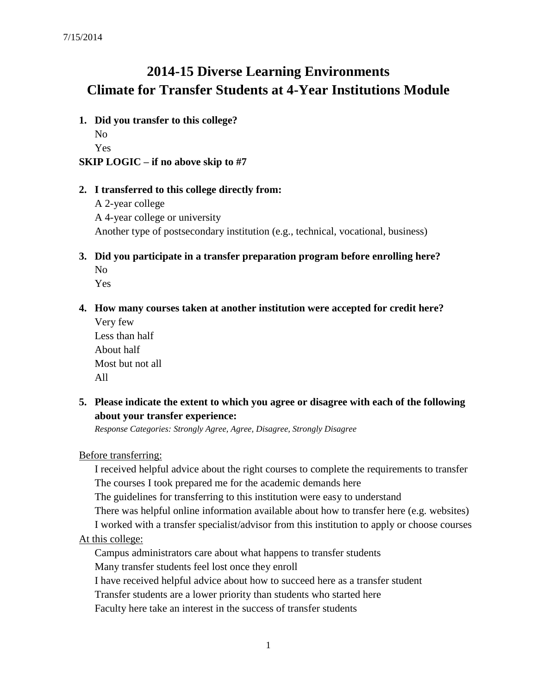# **2014-15 Diverse Learning Environments Climate for Transfer Students at 4-Year Institutions Module**

**1. Did you transfer to this college?**

No Yes

**SKIP LOGIC – if no above skip to #7**

## **2. I transferred to this college directly from:**

A 2-year college A 4-year college or university Another type of postsecondary institution (e.g., technical, vocational, business)

**3. Did you participate in a transfer preparation program before enrolling here?**  No

Yes

- **4. How many courses taken at another institution were accepted for credit here?** 
	- Very few Less than half About half Most but not all All
- **5. Please indicate the extent to which you agree or disagree with each of the following about your transfer experience:**

*Response Categories: Strongly Agree, Agree, Disagree, Strongly Disagree*

Before transferring:

I received helpful advice about the right courses to complete the requirements to transfer The courses I took prepared me for the academic demands here

The guidelines for transferring to this institution were easy to understand

There was helpful online information available about how to transfer here (e.g. websites)

I worked with a transfer specialist/advisor from this institution to apply or choose courses At this college:

Campus administrators care about what happens to transfer students

Many transfer students feel lost once they enroll

I have received helpful advice about how to succeed here as a transfer student

Transfer students are a lower priority than students who started here

Faculty here take an interest in the success of transfer students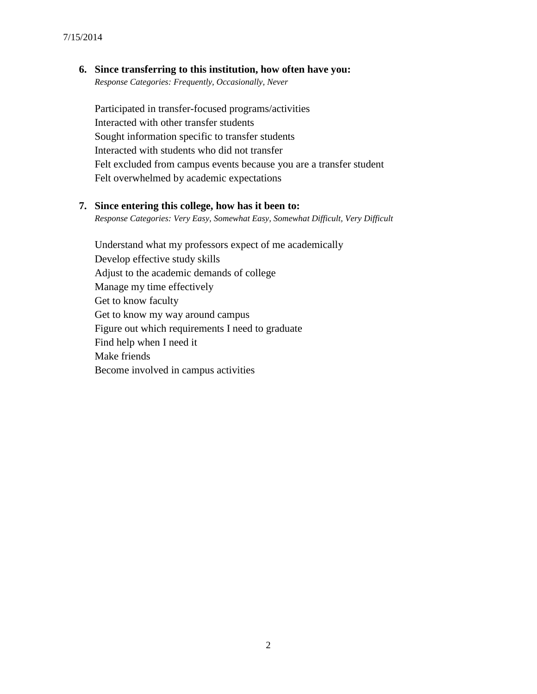# **6. Since transferring to this institution, how often have you:**

*Response Categories: Frequently, Occasionally, Never*

Participated in transfer-focused programs/activities Interacted with other transfer students Sought information specific to transfer students Interacted with students who did not transfer Felt excluded from campus events because you are a transfer student Felt overwhelmed by academic expectations

#### **7. Since entering this college, how has it been to:**

*Response Categories: Very Easy, Somewhat Easy, Somewhat Difficult, Very Difficult*

Understand what my professors expect of me academically Develop effective study skills Adjust to the academic demands of college Manage my time effectively Get to know faculty Get to know my way around campus Figure out which requirements I need to graduate Find help when I need it Make friends Become involved in campus activities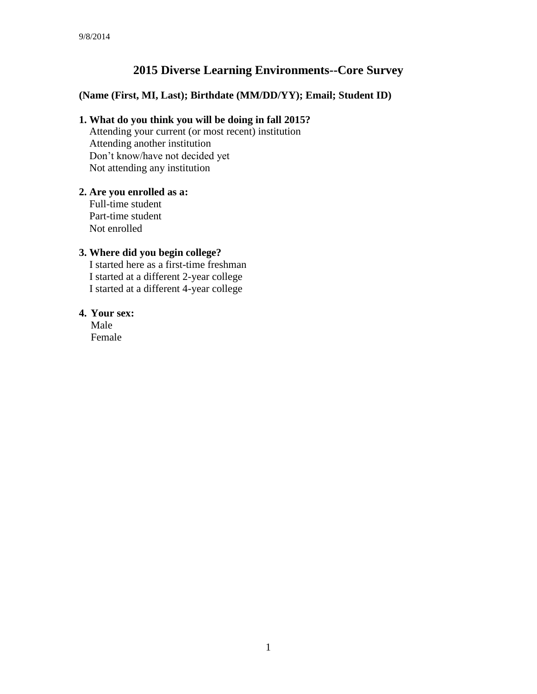## **2015 Diverse Learning Environments--Core Survey**

## **(Name (First, MI, Last); Birthdate (MM/DD/YY); Email; Student ID)**

## **1. What do you think you will be doing in fall 2015?**

 Attending your current (or most recent) institution Attending another institution Don't know/have not decided yet Not attending any institution

### **2. Are you enrolled as a:**

Full-time student Part-time student Not enrolled

## **3. Where did you begin college?**

I started here as a first-time freshman I started at a different 2-year college I started at a different 4-year college

#### **4. Your sex:**

Male Female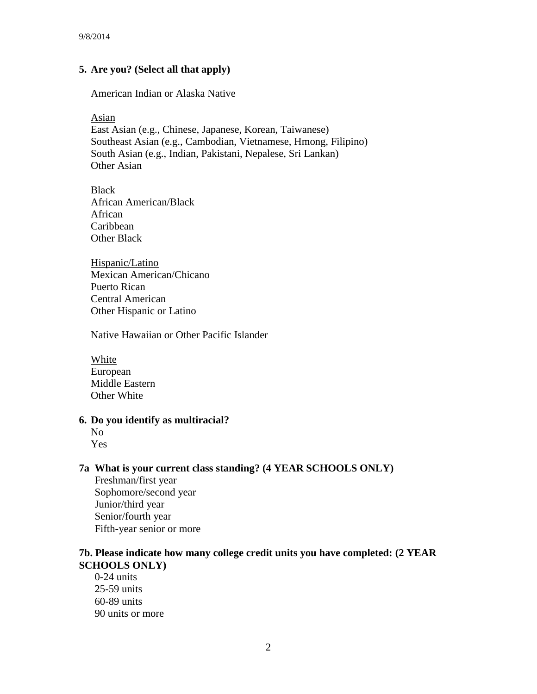### **5. Are you? (Select all that apply)**

American Indian or Alaska Native

Asian East Asian (e.g., Chinese, Japanese, Korean, Taiwanese) Southeast Asian (e.g., Cambodian, Vietnamese, Hmong, Filipino) South Asian (e.g., Indian, Pakistani, Nepalese, Sri Lankan) Other Asian

Black African American/Black African Caribbean Other Black

Hispanic/Latino Mexican American/Chicano Puerto Rican Central American Other Hispanic or Latino

Native Hawaiian or Other Pacific Islander

White European Middle Eastern Other White

### **6. Do you identify as multiracial?**

No Yes

### **7a What is your current class standing? (4 YEAR SCHOOLS ONLY)**

Freshman/first year Sophomore/second year Junior/third year Senior/fourth year Fifth-year senior or more

### **7b. Please indicate how many college credit units you have completed: (2 YEAR SCHOOLS ONLY)**

0-24 units 25-59 units 60-89 units 90 units or more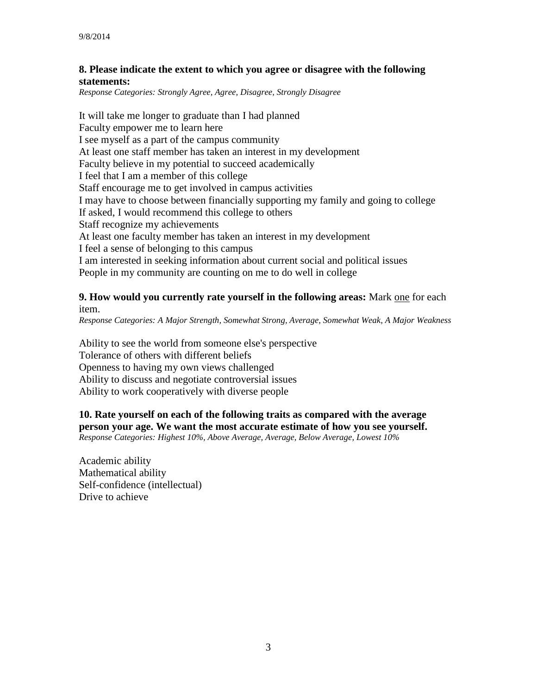### **8. Please indicate the extent to which you agree or disagree with the following statements:**

*Response Categories: Strongly Agree, Agree, Disagree, Strongly Disagree*

It will take me longer to graduate than I had planned Faculty empower me to learn here I see myself as a part of the campus community At least one staff member has taken an interest in my development Faculty believe in my potential to succeed academically I feel that I am a member of this college Staff encourage me to get involved in campus activities I may have to choose between financially supporting my family and going to college If asked, I would recommend this college to others Staff recognize my achievements At least one faculty member has taken an interest in my development I feel a sense of belonging to this campus I am interested in seeking information about current social and political issues People in my community are counting on me to do well in college

#### **9. How would you currently rate yourself in the following areas:** Mark one for each item.

*Response Categories: A Major Strength, Somewhat Strong, Average, Somewhat Weak, A Major Weakness*

Ability to see the world from someone else's perspective Tolerance of others with different beliefs Openness to having my own views challenged Ability to discuss and negotiate controversial issues Ability to work cooperatively with diverse people

#### **10. Rate yourself on each of the following traits as compared with the average person your age. We want the most accurate estimate of how you see yourself.** *Response Categories: Highest 10%, Above Average, Average, Below Average, Lowest 10%*

Academic ability Mathematical ability Self-confidence (intellectual) Drive to achieve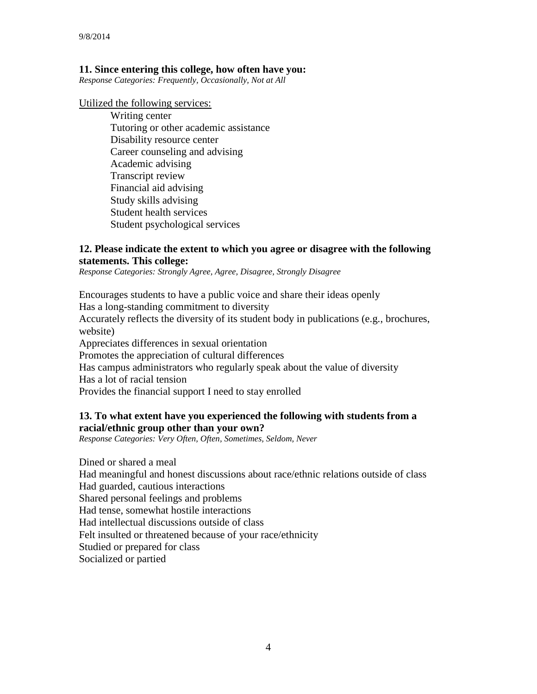#### **11. Since entering this college, how often have you:**

*Response Categories: Frequently, Occasionally, Not at All*

Utilized the following services:

Writing center Tutoring or other academic assistance Disability resource center Career counseling and advising Academic advising Transcript review Financial aid advising Study skills advising Student health services Student psychological services

#### **12. Please indicate the extent to which you agree or disagree with the following statements. This college:**

*Response Categories: Strongly Agree, Agree, Disagree, Strongly Disagree*

Encourages students to have a public voice and share their ideas openly Has a long-standing commitment to diversity Accurately reflects the diversity of its student body in publications (e.g., brochures, website) Appreciates differences in sexual orientation Promotes the appreciation of cultural differences Has campus administrators who regularly speak about the value of diversity Has a lot of racial tension Provides the financial support I need to stay enrolled

## **13. To what extent have you experienced the following with students from a racial/ethnic group other than your own?**

*Response Categories: Very Often, Often, Sometimes, Seldom, Never*

Dined or shared a meal Had meaningful and honest discussions about race/ethnic relations outside of class Had guarded, cautious interactions Shared personal feelings and problems Had tense, somewhat hostile interactions Had intellectual discussions outside of class Felt insulted or threatened because of your race/ethnicity Studied or prepared for class Socialized or partied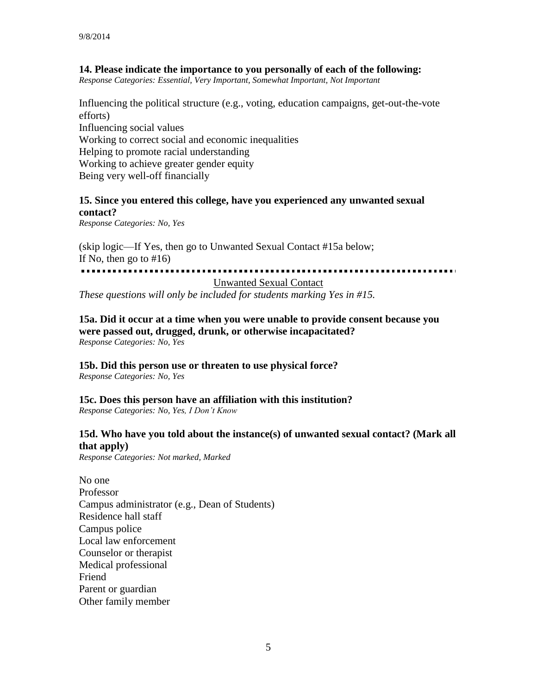#### **14. Please indicate the importance to you personally of each of the following:**

*Response Categories: Essential, Very Important, Somewhat Important, Not Important*

Influencing the political structure (e.g., voting, education campaigns, get-out-the-vote efforts) Influencing social values Working to correct social and economic inequalities Helping to promote racial understanding Working to achieve greater gender equity Being very well-off financially

## **15. Since you entered this college, have you experienced any unwanted sexual contact?**

*Response Categories: No, Yes*

(skip logic—If Yes, then go to Unwanted Sexual Contact #15a below; If No, then go to  $#16$ )

----------------

#### Unwanted Sexual Contact

*These questions will only be included for students marking Yes in #15.*

**15a. Did it occur at a time when you were unable to provide consent because you were passed out, drugged, drunk, or otherwise incapacitated?** *Response Categories: No, Yes*

### **15b. Did this person use or threaten to use physical force?**

*Response Categories: No, Yes*

### **15c. Does this person have an affiliation with this institution?**

*Response Categories: No, Yes, I Don't Know*

#### **15d. Who have you told about the instance(s) of unwanted sexual contact? (Mark all that apply)**

*Response Categories: Not marked, Marked*

No one Professor Campus administrator (e.g., Dean of Students) Residence hall staff Campus police Local law enforcement Counselor or therapist Medical professional Friend Parent or guardian Other family member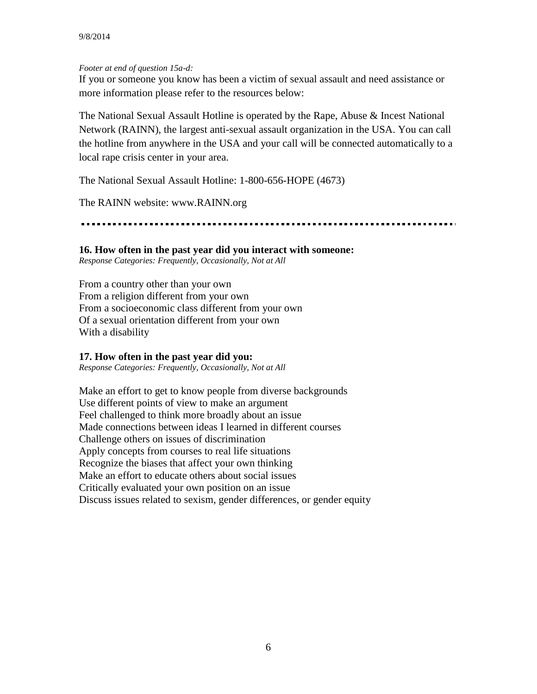#### *Footer at end of question 15a-d:*

If you or someone you know has been a victim of sexual assault and need assistance or more information please refer to the resources below:

The National Sexual Assault Hotline is operated by the Rape, Abuse & Incest National Network (RAINN), the largest anti-sexual assault organization in the USA. You can call the hotline from anywhere in the USA and your call will be connected automatically to a local rape crisis center in your area.

The National Sexual Assault Hotline: 1-800-656-HOPE (4673)

The RAINN website: www.RAINN.org

. . . . . . . . . . . . . . . . . . . . . . . . . . . . . . . .

### **16. How often in the past year did you interact with someone:**

*Response Categories: Frequently, Occasionally, Not at All*

From a country other than your own From a religion different from your own From a socioeconomic class different from your own Of a sexual orientation different from your own With a disability

## **17. How often in the past year did you:**

*Response Categories: Frequently, Occasionally, Not at All*

Make an effort to get to know people from diverse backgrounds Use different points of view to make an argument Feel challenged to think more broadly about an issue Made connections between ideas I learned in different courses Challenge others on issues of discrimination Apply concepts from courses to real life situations Recognize the biases that affect your own thinking Make an effort to educate others about social issues Critically evaluated your own position on an issue Discuss issues related to sexism, gender differences, or gender equity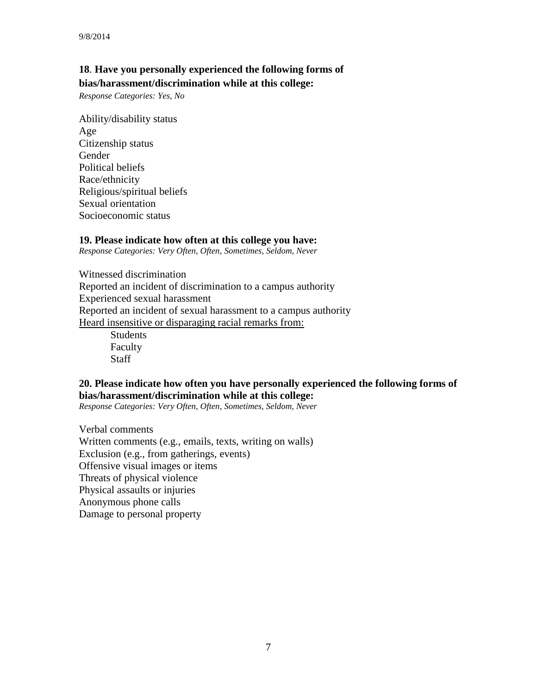## **18**. **Have you personally experienced the following forms of bias/harassment/discrimination while at this college:**

*Response Categories: Yes, No*

Ability/disability status Age Citizenship status Gender Political beliefs Race/ethnicity Religious/spiritual beliefs Sexual orientation Socioeconomic status

#### **19. Please indicate how often at this college you have:**

*Response Categories: Very Often, Often, Sometimes, Seldom, Never*

Witnessed discrimination Reported an incident of discrimination to a campus authority Experienced sexual harassment Reported an incident of sexual harassment to a campus authority Heard insensitive or disparaging racial remarks from:

> Students Faculty **Staff**

## **20. Please indicate how often you have personally experienced the following forms of bias/harassment/discrimination while at this college:**

*Response Categories: Very Often, Often, Sometimes, Seldom, Never*

Verbal comments Written comments (e.g., emails, texts, writing on walls) Exclusion (e.g., from gatherings, events) Offensive visual images or items Threats of physical violence Physical assaults or injuries Anonymous phone calls Damage to personal property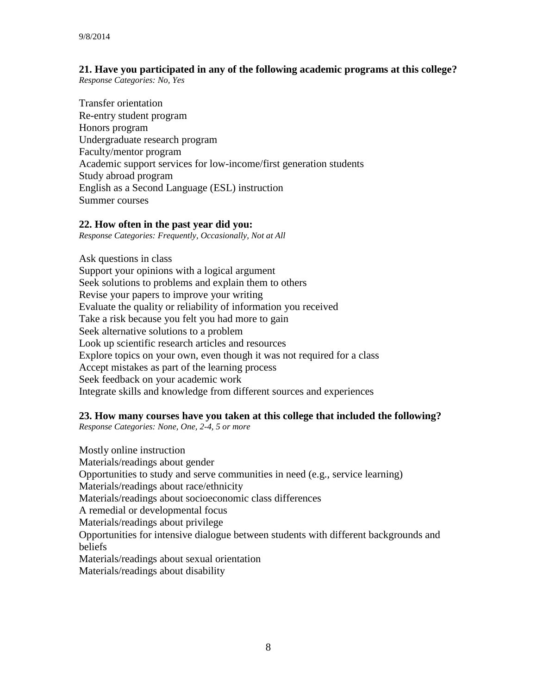## **21. Have you participated in any of the following academic programs at this college?**

*Response Categories: No, Yes*

Transfer orientation Re-entry student program Honors program Undergraduate research program Faculty/mentor program Academic support services for low-income/first generation students Study abroad program English as a Second Language (ESL) instruction Summer courses

## **22. How often in the past year did you:**

*Response Categories: Frequently, Occasionally, Not at All*

Ask questions in class Support your opinions with a logical argument Seek solutions to problems and explain them to others Revise your papers to improve your writing Evaluate the quality or reliability of information you received Take a risk because you felt you had more to gain Seek alternative solutions to a problem Look up scientific research articles and resources Explore topics on your own, even though it was not required for a class Accept mistakes as part of the learning process Seek feedback on your academic work Integrate skills and knowledge from different sources and experiences

## **23. How many courses have you taken at this college that included the following?**

*Response Categories: None, One, 2-4, 5 or more*

Mostly online instruction Materials/readings about gender Opportunities to study and serve communities in need (e.g., service learning) Materials/readings about race/ethnicity Materials/readings about socioeconomic class differences A remedial or developmental focus Materials/readings about privilege Opportunities for intensive dialogue between students with different backgrounds and beliefs Materials/readings about sexual orientation Materials/readings about disability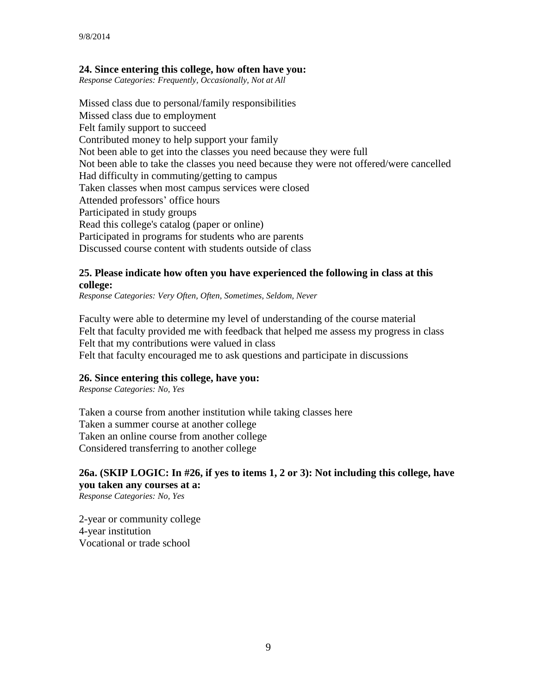#### **24. Since entering this college, how often have you:**

*Response Categories: Frequently, Occasionally, Not at All*

Missed class due to personal/family responsibilities Missed class due to employment Felt family support to succeed Contributed money to help support your family Not been able to get into the classes you need because they were full Not been able to take the classes you need because they were not offered/were cancelled Had difficulty in commuting/getting to campus Taken classes when most campus services were closed Attended professors' office hours Participated in study groups Read this college's catalog (paper or online) Participated in programs for students who are parents Discussed course content with students outside of class

## **25. Please indicate how often you have experienced the following in class at this college:**

*Response Categories: Very Often, Often, Sometimes, Seldom, Never*

Faculty were able to determine my level of understanding of the course material Felt that faculty provided me with feedback that helped me assess my progress in class Felt that my contributions were valued in class

Felt that faculty encouraged me to ask questions and participate in discussions

#### **26. Since entering this college, have you:**

*Response Categories: No, Yes*

Taken a course from another institution while taking classes here Taken a summer course at another college Taken an online course from another college Considered transferring to another college

## **26a. (SKIP LOGIC: In #26, if yes to items 1, 2 or 3): Not including this college, have you taken any courses at a:**

*Response Categories: No, Yes*

2-year or community college 4-year institution Vocational or trade school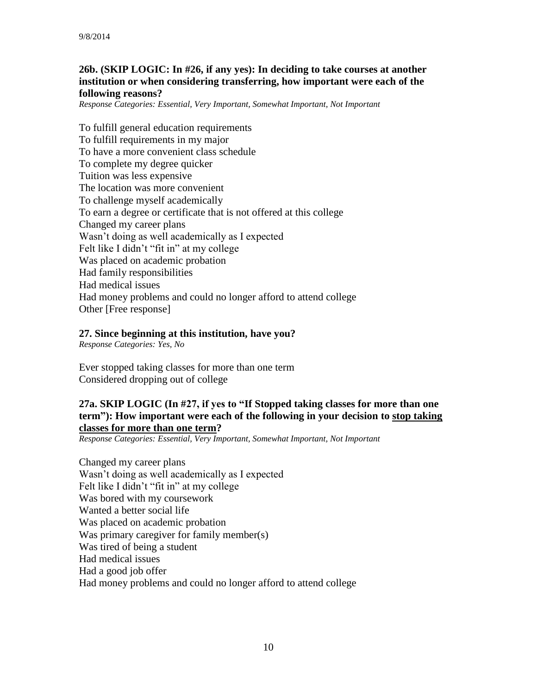## **26b. (SKIP LOGIC: In #26, if any yes): In deciding to take courses at another institution or when considering transferring, how important were each of the following reasons?**

*Response Categories: Essential, Very Important, Somewhat Important, Not Important*

To fulfill general education requirements To fulfill requirements in my major To have a more convenient class schedule To complete my degree quicker Tuition was less expensive The location was more convenient To challenge myself academically To earn a degree or certificate that is not offered at this college Changed my career plans Wasn't doing as well academically as I expected Felt like I didn't "fit in" at my college Was placed on academic probation Had family responsibilities Had medical issues Had money problems and could no longer afford to attend college Other [Free response]

#### **27. Since beginning at this institution, have you?**

*Response Categories: Yes, No*

Ever stopped taking classes for more than one term Considered dropping out of college

## **27a. SKIP LOGIC (In #27, if yes to "If Stopped taking classes for more than one term"): How important were each of the following in your decision to stop taking classes for more than one term?**

*Response Categories: Essential, Very Important, Somewhat Important, Not Important*

Changed my career plans Wasn't doing as well academically as I expected Felt like I didn't "fit in" at my college Was bored with my coursework Wanted a better social life Was placed on academic probation Was primary caregiver for family member(s) Was tired of being a student Had medical issues Had a good job offer Had money problems and could no longer afford to attend college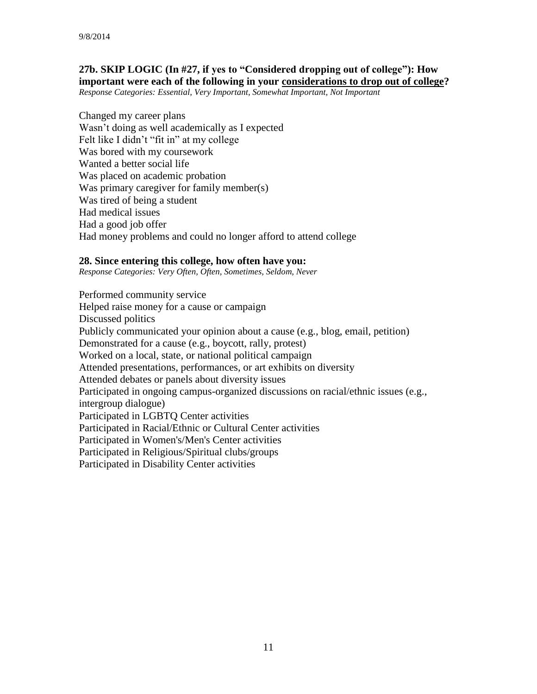## **27b. SKIP LOGIC (In #27, if yes to "Considered dropping out of college"): How important were each of the following in your considerations to drop out of college?**

*Response Categories: Essential, Very Important, Somewhat Important, Not Important*

Changed my career plans Wasn't doing as well academically as I expected Felt like I didn't "fit in" at my college Was bored with my coursework Wanted a better social life Was placed on academic probation Was primary caregiver for family member(s) Was tired of being a student Had medical issues Had a good job offer Had money problems and could no longer afford to attend college

#### **28. Since entering this college, how often have you:**

*Response Categories: Very Often, Often, Sometimes, Seldom, Never*

Performed community service Helped raise money for a cause or campaign Discussed politics Publicly communicated your opinion about a cause (e.g., blog, email, petition) Demonstrated for a cause (e.g., boycott, rally, protest) Worked on a local, state, or national political campaign Attended presentations, performances, or art exhibits on diversity Attended debates or panels about diversity issues Participated in ongoing campus-organized discussions on racial/ethnic issues (e.g., intergroup dialogue) Participated in LGBTQ Center activities Participated in Racial/Ethnic or Cultural Center activities Participated in Women's/Men's Center activities Participated in Religious/Spiritual clubs/groups Participated in Disability Center activities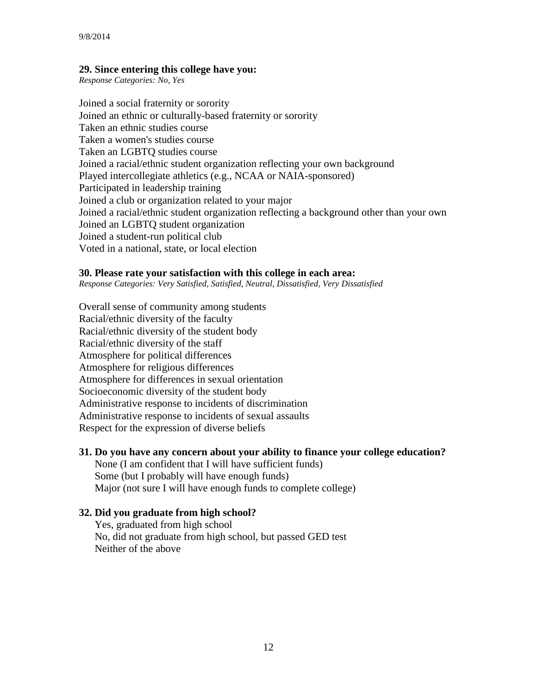#### **29. Since entering this college have you:**

*Response Categories: No, Yes*

Joined a social fraternity or sorority Joined an ethnic or culturally-based fraternity or sorority Taken an ethnic studies course Taken a women's studies course Taken an LGBTQ studies course Joined a racial/ethnic student organization reflecting your own background Played intercollegiate athletics (e.g., NCAA or NAIA-sponsored) Participated in leadership training Joined a club or organization related to your major Joined a racial/ethnic student organization reflecting a background other than your own Joined an LGBTQ student organization Joined a student-run political club Voted in a national, state, or local election

#### **30. Please rate your satisfaction with this college in each area:**

*Response Categories: Very Satisfied, Satisfied, Neutral, Dissatisfied, Very Dissatisfied*

Overall sense of community among students Racial/ethnic diversity of the faculty Racial/ethnic diversity of the student body Racial/ethnic diversity of the staff Atmosphere for political differences Atmosphere for religious differences Atmosphere for differences in sexual orientation Socioeconomic diversity of the student body Administrative response to incidents of discrimination Administrative response to incidents of sexual assaults Respect for the expression of diverse beliefs

### **31. Do you have any concern about your ability to finance your college education?**

None (I am confident that I will have sufficient funds) Some (but I probably will have enough funds) Major (not sure I will have enough funds to complete college)

#### **32. Did you graduate from high school?**

Yes, graduated from high school No, did not graduate from high school, but passed GED test Neither of the above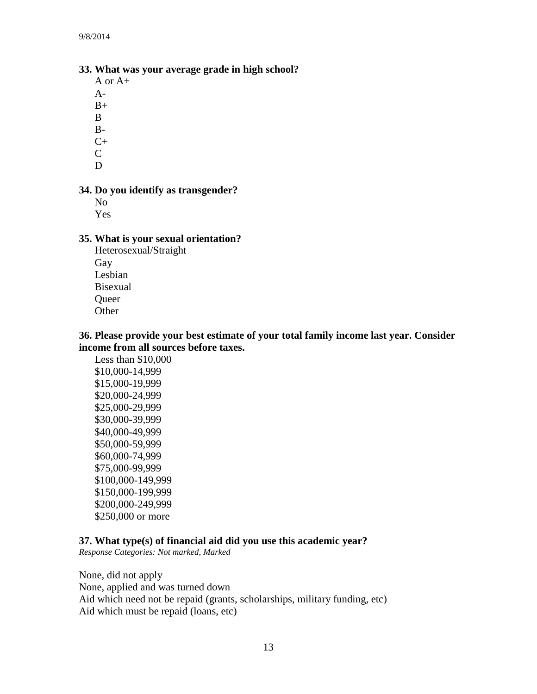### **33. What was your average grade in high school?**

- A or A+
- $A-$
- $B+$ B
- B-
- $C_{+}$
- $\mathsf{C}$
- D

## **34. Do you identify as transgender?**

No

Yes

### **35. What is your sexual orientation?**

Heterosexual/Straight Gay Lesbian Bisexual **Queer Other** 

#### **36. Please provide your best estimate of your total family income last year. Consider income from all sources before taxes.**

Less than \$10,000 \$10,000-14,999 \$15,000-19,999 \$20,000-24,999 \$25,000-29,999 \$30,000-39,999 \$40,000-49,999 \$50,000-59,999 \$60,000-74,999 \$75,000-99,999 \$100,000-149,999 \$150,000-199,999 \$200,000-249,999 \$250,000 or more

## **37. What type(s) of financial aid did you use this academic year?**

*Response Categories: Not marked, Marked*

None, did not apply None, applied and was turned down Aid which need not be repaid (grants, scholarships, military funding, etc) Aid which must be repaid (loans, etc)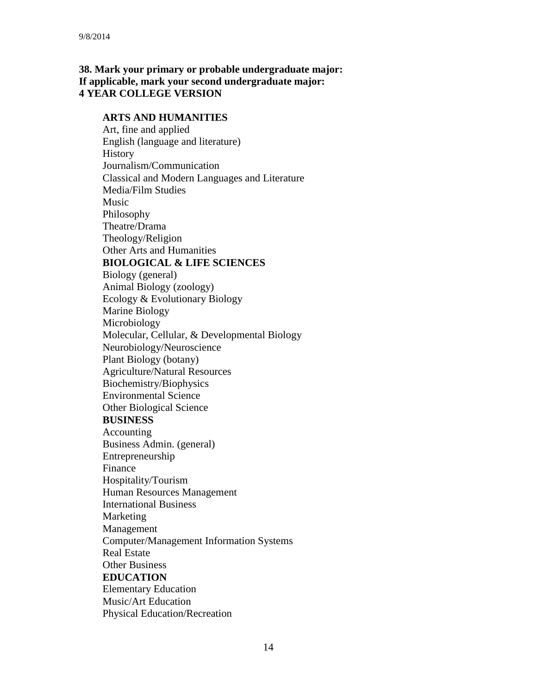## **38. Mark your primary or probable undergraduate major: If applicable, mark your second undergraduate major: 4 YEAR COLLEGE VERSION**

### **ARTS AND HUMANITIES**

Art, fine and applied English (language and literature) **History** Journalism/Communication Classical and Modern Languages and Literature Media/Film Studies Music Philosophy Theatre/Drama Theology/Religion Other Arts and Humanities **BIOLOGICAL & LIFE SCIENCES** Biology (general) Animal Biology (zoology) Ecology & Evolutionary Biology Marine Biology Microbiology Molecular, Cellular, & Developmental Biology Neurobiology/Neuroscience Plant Biology (botany) Agriculture/Natural Resources Biochemistry/Biophysics Environmental Science Other Biological Science **BUSINESS** Accounting Business Admin. (general) Entrepreneurship Finance Hospitality/Tourism Human Resources Management International Business Marketing Management Computer/Management Information Systems Real Estate Other Business **EDUCATION** Elementary Education Music/Art Education Physical Education/Recreation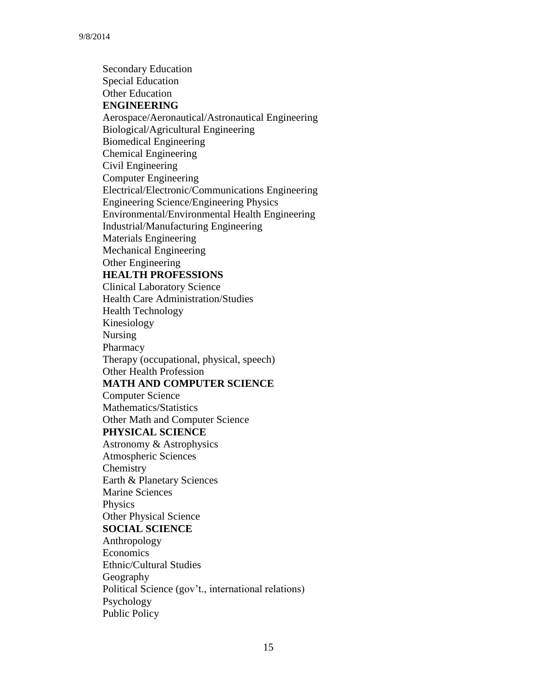Secondary Education Special Education Other Education **ENGINEERING** Aerospace/Aeronautical/Astronautical Engineering Biological/Agricultural Engineering Biomedical Engineering Chemical Engineering Civil Engineering Computer Engineering Electrical/Electronic/Communications Engineering Engineering Science/Engineering Physics Environmental/Environmental Health Engineering Industrial/Manufacturing Engineering Materials Engineering Mechanical Engineering Other Engineering **HEALTH PROFESSIONS** Clinical Laboratory Science Health Care Administration/Studies Health Technology Kinesiology Nursing Pharmacy Therapy (occupational, physical, speech) Other Health Profession **MATH AND COMPUTER SCIENCE** Computer Science Mathematics/Statistics Other Math and Computer Science **PHYSICAL SCIENCE** Astronomy & Astrophysics Atmospheric Sciences **Chemistry** Earth & Planetary Sciences Marine Sciences Physics Other Physical Science **SOCIAL SCIENCE** Anthropology **Economics** Ethnic/Cultural Studies Geography Political Science (gov't., international relations) Psychology Public Policy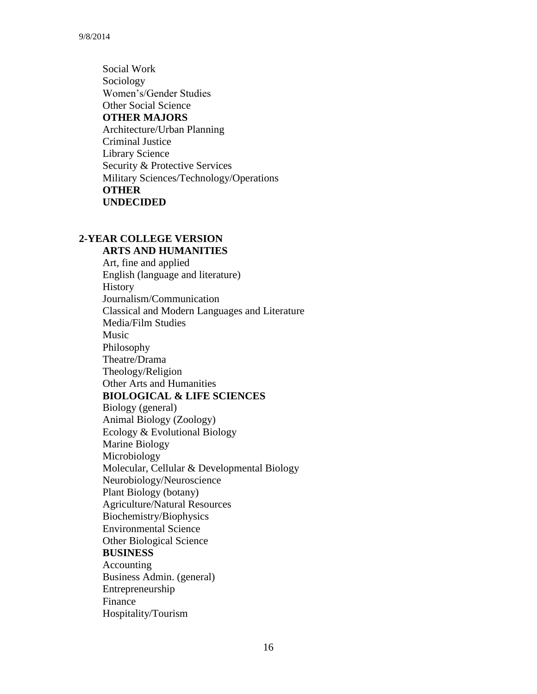Social Work Sociology Women's/Gender Studies Other Social Science **OTHER MAJORS** Architecture/Urban Planning Criminal Justice Library Science Security & Protective Services Military Sciences/Technology/Operations **OTHER UNDECIDED**

## **2-YEAR COLLEGE VERSION**

**ARTS AND HUMANITIES** Art, fine and applied English (language and literature) History Journalism/Communication Classical and Modern Languages and Literature Media/Film Studies Music Philosophy Theatre/Drama Theology/Religion Other Arts and Humanities **BIOLOGICAL & LIFE SCIENCES** Biology (general) Animal Biology (Zoology) Ecology & Evolutional Biology Marine Biology Microbiology Molecular, Cellular & Developmental Biology Neurobiology/Neuroscience Plant Biology (botany) Agriculture/Natural Resources Biochemistry/Biophysics Environmental Science Other Biological Science **BUSINESS** Accounting Business Admin. (general) Entrepreneurship Finance Hospitality/Tourism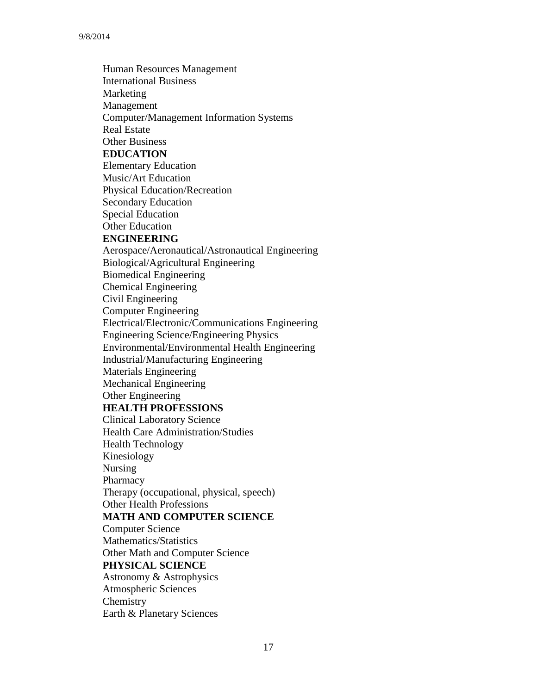Human Resources Management International Business Marketing Management Computer/Management Information Systems Real Estate Other Business **EDUCATION** Elementary Education Music/Art Education Physical Education/Recreation Secondary Education Special Education Other Education **ENGINEERING**  Aerospace/Aeronautical/Astronautical Engineering Biological/Agricultural Engineering Biomedical Engineering Chemical Engineering Civil Engineering Computer Engineering Electrical/Electronic/Communications Engineering Engineering Science/Engineering Physics Environmental/Environmental Health Engineering Industrial/Manufacturing Engineering Materials Engineering Mechanical Engineering Other Engineering **HEALTH PROFESSIONS** Clinical Laboratory Science Health Care Administration/Studies Health Technology Kinesiology Nursing Pharmacy Therapy (occupational, physical, speech) Other Health Professions **MATH AND COMPUTER SCIENCE** Computer Science Mathematics/Statistics Other Math and Computer Science **PHYSICAL SCIENCE** Astronomy & Astrophysics Atmospheric Sciences **Chemistry** Earth & Planetary Sciences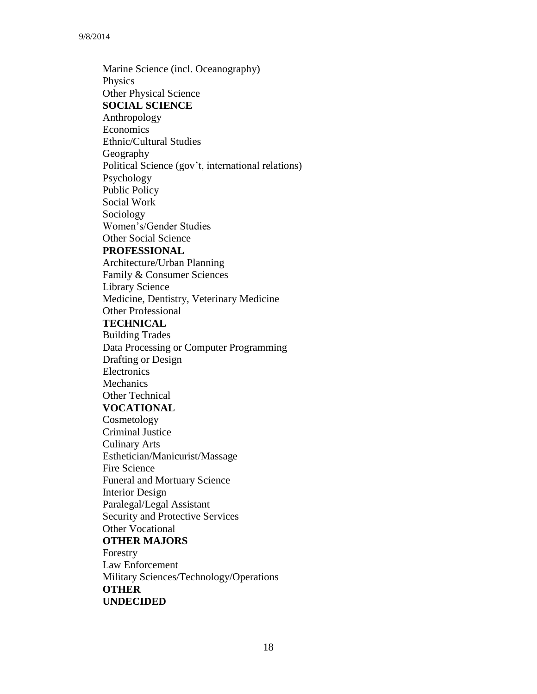Marine Science (incl. Oceanography) Physics Other Physical Science **SOCIAL SCIENCE** Anthropology **Economics** Ethnic/Cultural Studies Geography Political Science (gov't, international relations) Psychology Public Policy Social Work Sociology Women's/Gender Studies Other Social Science **PROFESSIONAL** Architecture/Urban Planning Family & Consumer Sciences Library Science Medicine, Dentistry, Veterinary Medicine Other Professional **TECHNICAL** Building Trades Data Processing or Computer Programming Drafting or Design **Electronics Mechanics** Other Technical **VOCATIONAL** Cosmetology Criminal Justice Culinary Arts Esthetician/Manicurist/Massage Fire Science Funeral and Mortuary Science Interior Design Paralegal/Legal Assistant Security and Protective Services Other Vocational **OTHER MAJORS** Forestry Law Enforcement Military Sciences/Technology/Operations **OTHER UNDECIDED**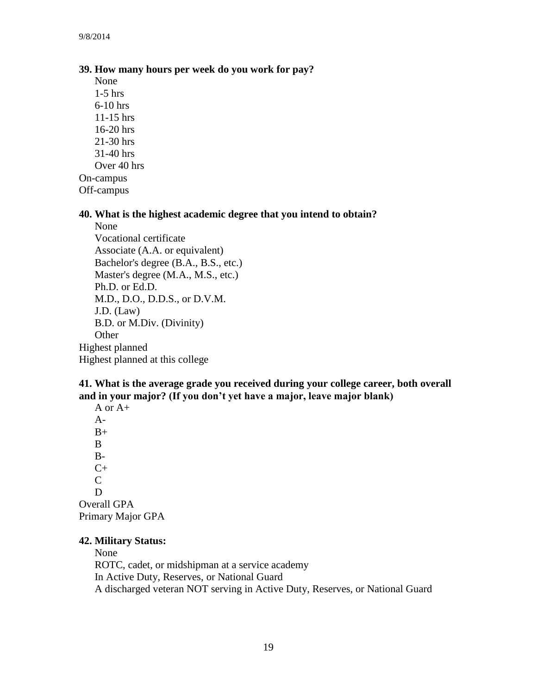#### **39. How many hours per week do you work for pay?**

None 1-5 hrs 6-10 hrs 11-15 hrs 16-20 hrs 21-30 hrs 31-40 hrs Over 40 hrs On-campus Off-campus

#### **40. What is the highest academic degree that you intend to obtain?**

None Vocational certificate Associate (A.A. or equivalent) Bachelor's degree (B.A., B.S., etc.) Master's degree (M.A., M.S., etc.) Ph.D. or Ed.D. M.D., D.O., D.D.S., or D.V.M. J.D. (Law) B.D. or M.Div. (Divinity) **Other** Highest planned Highest planned at this college

**41. What is the average grade you received during your college career, both overall and in your major? (If you don't yet have a major, leave major blank)**

A or A+  $A B+$ B  $B C+$  $\mathbf{C}$ D Overall GPA Primary Major GPA

## **42. Military Status:**

None ROTC, cadet, or midshipman at a service academy In Active Duty, Reserves, or National Guard A discharged veteran NOT serving in Active Duty, Reserves, or National Guard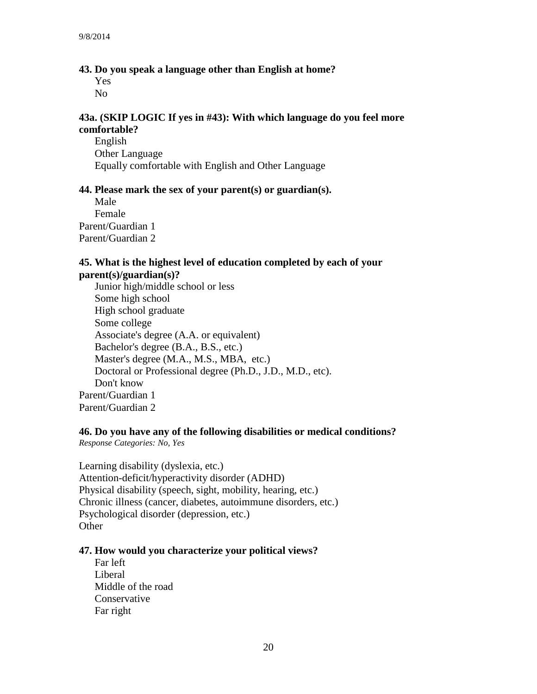#### **43. Do you speak a language other than English at home?**

Yes No

## **43a. (SKIP LOGIC If yes in #43): With which language do you feel more comfortable?**

English Other Language Equally comfortable with English and Other Language

### **44. Please mark the sex of your parent(s) or guardian(s).**

Male Female Parent/Guardian 1 Parent/Guardian 2

#### **45. What is the highest level of education completed by each of your parent(s)/guardian(s)?**

Junior high/middle school or less Some high school High school graduate Some college Associate's degree (A.A. or equivalent) Bachelor's degree (B.A., B.S., etc.) Master's degree (M.A., M.S., MBA, etc.) Doctoral or Professional degree (Ph.D., J.D., M.D., etc). Don't know Parent/Guardian 1 Parent/Guardian 2

## **46. Do you have any of the following disabilities or medical conditions?**

*Response Categories: No, Yes*

Learning disability (dyslexia, etc.) Attention-deficit/hyperactivity disorder (ADHD) Physical disability (speech, sight, mobility, hearing, etc.) Chronic illness (cancer, diabetes, autoimmune disorders, etc.) Psychological disorder (depression, etc.) **Other** 

### **47. How would you characterize your political views?**

Far left Liberal Middle of the road Conservative Far right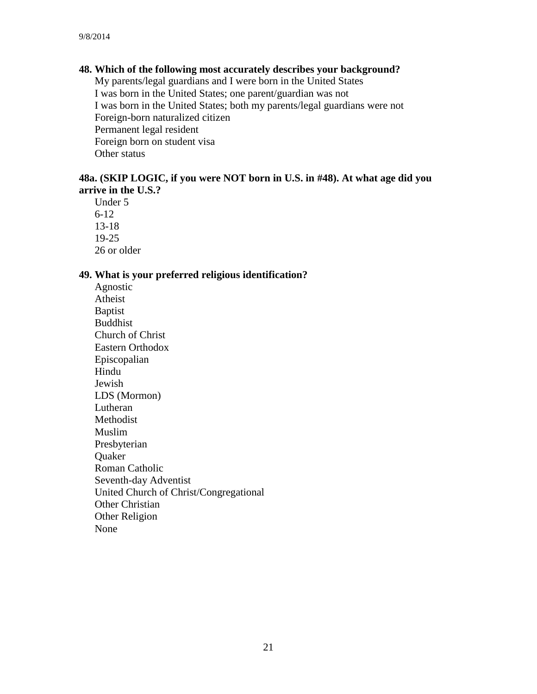#### **48. Which of the following most accurately describes your background?**

My parents/legal guardians and I were born in the United States I was born in the United States; one parent/guardian was not I was born in the United States; both my parents/legal guardians were not Foreign-born naturalized citizen Permanent legal resident Foreign born on student visa Other status

## **48a. (SKIP LOGIC, if you were NOT born in U.S. in #48). At what age did you arrive in the U.S.?**

Under 5 6-12 13-18 19-25 26 or older

#### **49. What is your preferred religious identification?**

Agnostic Atheist Baptist Buddhist Church of Christ Eastern Orthodox Episcopalian Hindu Jewish LDS (Mormon) Lutheran Methodist Muslim Presbyterian **Ouaker** Roman Catholic Seventh-day Adventist United Church of Christ/Congregational Other Christian Other Religion None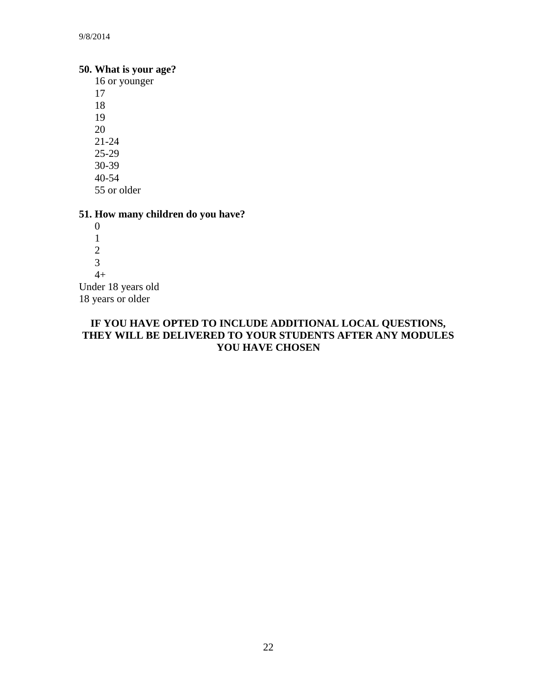## **50. What is your age?**

16 or younger 17 18 19 20 21-24 25-29 30-39 40-54

55 or older

## **51. How many children do you have?**

4+

Under 18 years old 18 years or older

## **IF YOU HAVE OPTED TO INCLUDE ADDITIONAL LOCAL QUESTIONS, THEY WILL BE DELIVERED TO YOUR STUDENTS AFTER ANY MODULES YOU HAVE CHOSEN**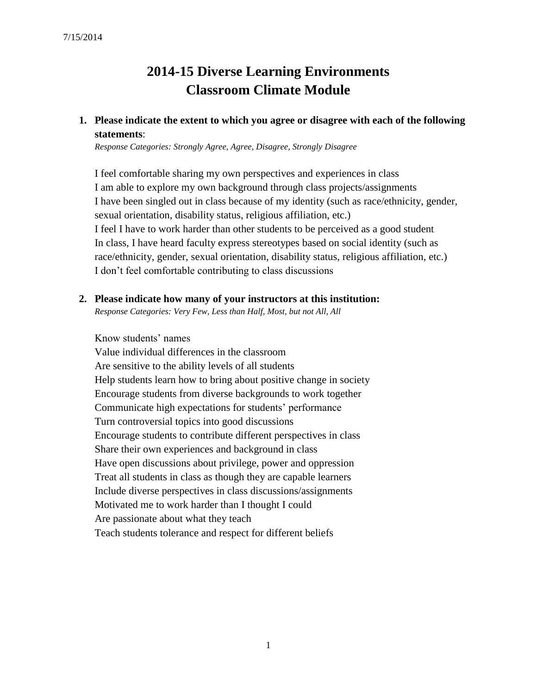# **2014-15 Diverse Learning Environments Classroom Climate Module**

## **1. Please indicate the extent to which you agree or disagree with each of the following statements**:

*Response Categories: Strongly Agree, Agree, Disagree, Strongly Disagree*

I feel comfortable sharing my own perspectives and experiences in class I am able to explore my own background through class projects/assignments I have been singled out in class because of my identity (such as race/ethnicity, gender, sexual orientation, disability status, religious affiliation, etc.) I feel I have to work harder than other students to be perceived as a good student In class, I have heard faculty express stereotypes based on social identity (such as race/ethnicity, gender, sexual orientation, disability status, religious affiliation, etc.) I don't feel comfortable contributing to class discussions

### **2. Please indicate how many of your instructors at this institution:**

*Response Categories: Very Few, Less than Half, Most, but not All, All*

Know students' names

Value individual differences in the classroom Are sensitive to the ability levels of all students Help students learn how to bring about positive change in society Encourage students from diverse backgrounds to work together Communicate high expectations for students' performance Turn controversial topics into good discussions Encourage students to contribute different perspectives in class Share their own experiences and background in class Have open discussions about privilege, power and oppression Treat all students in class as though they are capable learners Include diverse perspectives in class discussions/assignments Motivated me to work harder than I thought I could Are passionate about what they teach Teach students tolerance and respect for different beliefs